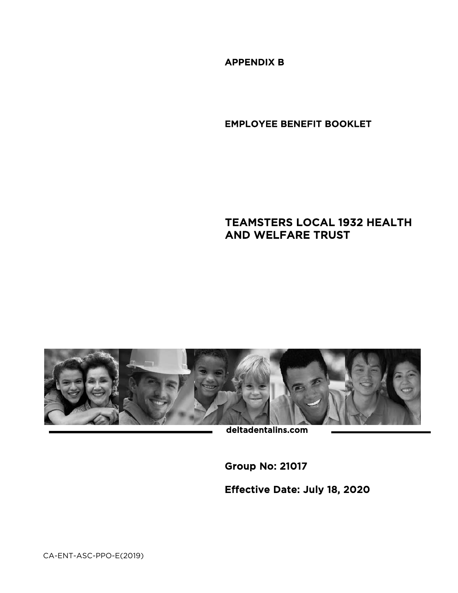APPENDIX B

EMPLOYEE BENEFIT BOOKLET

# TEAMSTERS LOCAL 1932 HEALTH AND WELFARE TRUST



deltadentalins.com

Group No: 21017

Effective Date: July 18, 2020

CA-ENT-ASC-PPO-E(2019)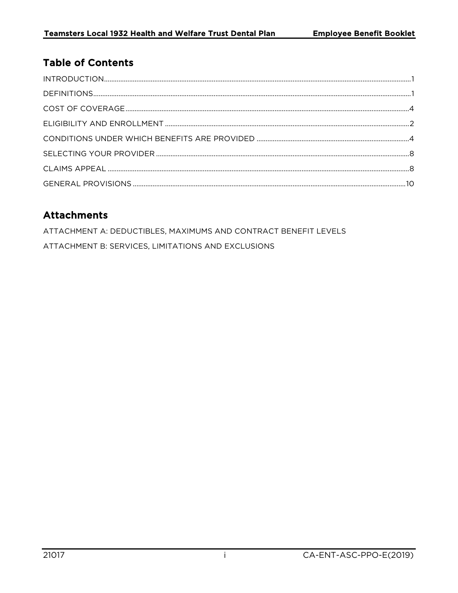# **Table of Contents**

# **Attachments**

ATTACHMENT A: DEDUCTIBLES, MAXIMUMS AND CONTRACT BENEFIT LEVELS ATTACHMENT B: SERVICES, LIMITATIONS AND EXCLUSIONS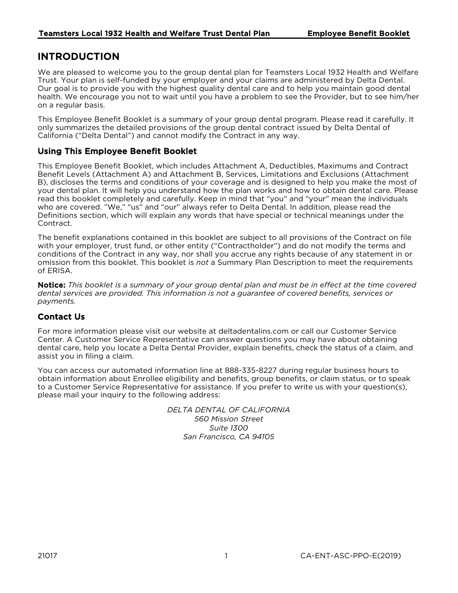# <span id="page-2-0"></span>INTRODUCTION

We are pleased to welcome you to the group dental plan for Teamsters Local 1932 Health and Welfare Trust. Your plan is self-funded by your employer and your claims are administered by Delta Dental. Our goal is to provide you with the highest quality dental care and to help you maintain good dental health. We encourage you not to wait until you have a problem to see the Provider, but to see him/her on a regular basis.

This Employee Benefit Booklet is a summary of your group dental program. Please read it carefully. It only summarizes the detailed provisions of the group dental contract issued by Delta Dental of California ("Delta Dental") and cannot modify the Contract in any way.

# Using This Employee Benefit Booklet

This Employee Benefit Booklet, which includes Attachment A, Deductibles, Maximums and Contract Benefit Levels (Attachment A) and Attachment B, Services, Limitations and Exclusions (Attachment B), discloses the terms and conditions of your coverage and is designed to help you make the most of your dental plan. It will help you understand how the plan works and how to obtain dental care. Please read this booklet completely and carefully. Keep in mind that "you" and "your" mean the individuals who are covered. "We," "us" and "our" always refer to Delta Dental. In addition, please read the Definitions section, which will explain any words that have special or technical meanings under the Contract.

The benefit explanations contained in this booklet are subject to all provisions of the Contract on file with your employer, trust fund, or other entity ("Contractholder") and do not modify the terms and conditions of the Contract in any way, nor shall you accrue any rights because of any statement in or omission from this booklet. This booklet is *not* a Summary Plan Description to meet the requirements of ERISA.

Notice: *This booklet is a summary of your group dental plan and must be in effect at the time covered dental services are provided. This information is not a guarantee of covered benefits, services or payments.*

# Contact Us

For more information please visit our website at deltadentalins.com or call our Customer Service Center. A Customer Service Representative can answer questions you may have about obtaining dental care, help you locate a Delta Dental Provider, explain benefits, check the status of a claim, and assist you in filing a claim.

You can access our automated information line at 888-335-8227 during regular business hours to obtain information about Enrollee eligibility and benefits, group benefits, or claim status, or to speak to a Customer Service Representative for assistance. If you prefer to write us with your question(s), please mail your inquiry to the following address:

> <span id="page-2-1"></span>*DELTA DENTAL OF CALIFORNIA 560 Mission Street Suite 1300 San Francisco, CA 94105*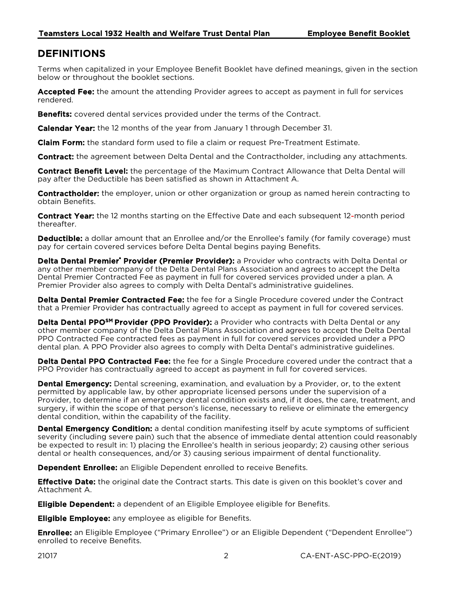# <span id="page-3-0"></span>DEFINITIONS

Terms when capitalized in your Employee Benefit Booklet have defined meanings, given in the section below or throughout the booklet sections.

Accepted Fee: the amount the attending Provider agrees to accept as payment in full for services rendered.

**Benefits:** covered dental services provided under the terms of the Contract.

**Calendar Year:** the 12 months of the year from January 1 through December 31.

**Claim Form:** the standard form used to file a claim or request Pre-Treatment Estimate.

Contract: the agreement between Delta Dental and the Contractholder, including any attachments.

Contract Benefit Level: the percentage of the Maximum Contract Allowance that Delta Dental will pay after the Deductible has been satisfied as shown in Attachment A.

**Contractholder:** the employer, union or other organization or group as named herein contracting to obtain Benefits.

**Contract Year:** the 12 months starting on the Effective Date and each subsequent 12-month period thereafter.

Deductible: a dollar amount that an Enrollee and/or the Enrollee's family (for family coverage) must pay for certain covered services before Delta Dental begins paying Benefits.

Delta Dental Premier<sup>\*</sup> Provider (Premier Provider): a Provider who contracts with Delta Dental or any other member company of the Delta Dental Plans Association and agrees to accept the Delta Dental Premier Contracted Fee as payment in full for covered services provided under a plan. A Premier Provider also agrees to comply with Delta Dental's administrative guidelines.

Delta Dental Premier Contracted Fee: the fee for a Single Procedure covered under the Contract that a Premier Provider has contractually agreed to accept as payment in full for covered services.

Delta Dental PPO<sup>SM</sup> Provider (PPO Provider): a Provider who contracts with Delta Dental or any other member company of the Delta Dental Plans Association and agrees to accept the Delta Dental PPO Contracted Fee contracted fees as payment in full for covered services provided under a PPO dental plan. A PPO Provider also agrees to comply with Delta Dental's administrative guidelines.

**Delta Dental PPO Contracted Fee:** the fee for a Single Procedure covered under the contract that a PPO Provider has contractually agreed to accept as payment in full for covered services.

**Dental Emergency:** Dental screening, examination, and evaluation by a Provider, or, to the extent permitted by applicable law, by other appropriate licensed persons under the supervision of a Provider, to determine if an emergency dental condition exists and, if it does, the care, treatment, and surgery, if within the scope of that person's license, necessary to relieve or eliminate the emergency dental condition, within the capability of the facility.

**Dental Emergency Condition:** a dental condition manifesting itself by acute symptoms of sufficient severity (including severe pain) such that the absence of immediate dental attention could reasonably be expected to result in: 1) placing the Enrollee's health in serious jeopardy; 2) causing other serious dental or health consequences, and/or 3) causing serious impairment of dental functionality.

**Dependent Enrollee:** an Eligible Dependent enrolled to receive Benefits.

**Effective Date:** the original date the Contract starts. This date is given on this booklet's cover and Attachment A.

**Eligible Dependent:** a dependent of an Eligible Employee eligible for Benefits.

**Eligible Employee:** any employee as eligible for Benefits.

**Enrollee:** an Eligible Employee ("Primary Enrollee") or an Eligible Dependent ("Dependent Enrollee") enrolled to receive Benefits.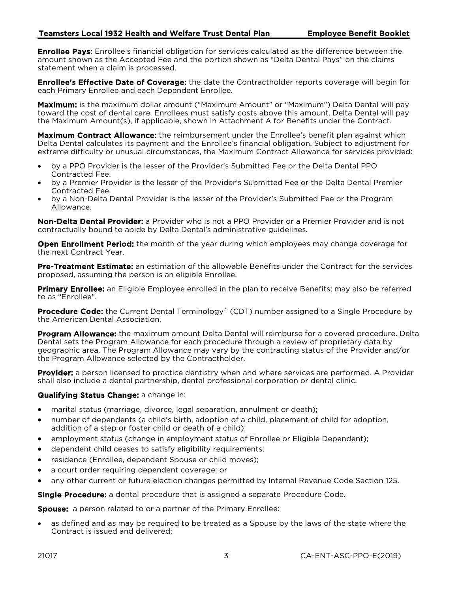**Enrollee Pays:** Enrollee's financial obligation for services calculated as the difference between the amount shown as the Accepted Fee and the portion shown as "Delta Dental Pays" on the claims statement when a claim is processed.

Enrollee's Effective Date of Coverage: the date the Contractholder reports coverage will begin for each Primary Enrollee and each Dependent Enrollee.

**Maximum:** is the maximum dollar amount ("Maximum Amount" or "Maximum") Delta Dental will pay toward the cost of dental care. Enrollees must satisfy costs above this amount. Delta Dental will pay the Maximum Amount(s), if applicable, shown in Attachment A for Benefits under the Contract.

Maximum Contract Allowance: the reimbursement under the Enrollee's benefit plan against which Delta Dental calculates its payment and the Enrollee's financial obligation. Subject to adjustment for extreme difficulty or unusual circumstances, the Maximum Contract Allowance for services provided:

- by a PPO Provider is the lesser of the Provider's Submitted Fee or the Delta Dental PPO Contracted Fee.
- by a Premier Provider is the lesser of the Provider's Submitted Fee or the Delta Dental Premier Contracted Fee.
- by a Non-Delta Dental Provider is the lesser of the Provider's Submitted Fee or the Program Allowance.

Non-Delta Dental Provider: a Provider who is not a PPO Provider or a Premier Provider and is not contractually bound to abide by Delta Dental's administrative guidelines.

**Open Enrollment Period:** the month of the year during which employees may change coverage for the next Contract Year.

**Pre-Treatment Estimate:** an estimation of the allowable Benefits under the Contract for the services proposed, assuming the person is an eligible Enrollee.

**Primary Enrollee:** an Eligible Employee enrolled in the plan to receive Benefits; may also be referred to as "Enrollee".

**Procedure Code:** the Current Dental Terminology<sup>©</sup> (CDT) number assigned to a Single Procedure by the American Dental Association.

Program Allowance: the maximum amount Delta Dental will reimburse for a covered procedure. Delta Dental sets the Program Allowance for each procedure through a review of proprietary data by geographic area. The Program Allowance may vary by the contracting status of the Provider and/or the Program Allowance selected by the Contractholder.

**Provider:** a person licensed to practice dentistry when and where services are performed. A Provider shall also include a dental partnership, dental professional corporation or dental clinic.

#### Qualifying Status Change: a change in:

- marital status (marriage, divorce, legal separation, annulment or death);
- number of dependents (a child's birth, adoption of a child, placement of child for adoption, addition of a step or foster child or death of a child);
- employment status (change in employment status of Enrollee or Eligible Dependent);
- dependent child ceases to satisfy eligibility requirements;
- residence (Enrollee, dependent Spouse or child moves);
- a court order requiring dependent coverage; or
- any other current or future election changes permitted by Internal Revenue Code Section 125.

**Single Procedure:** a dental procedure that is assigned a separate Procedure Code.

**Spouse:** a person related to or a partner of the Primary Enrollee:

• as defined and as may be required to be treated as a Spouse by the laws of the state where the Contract is issued and delivered;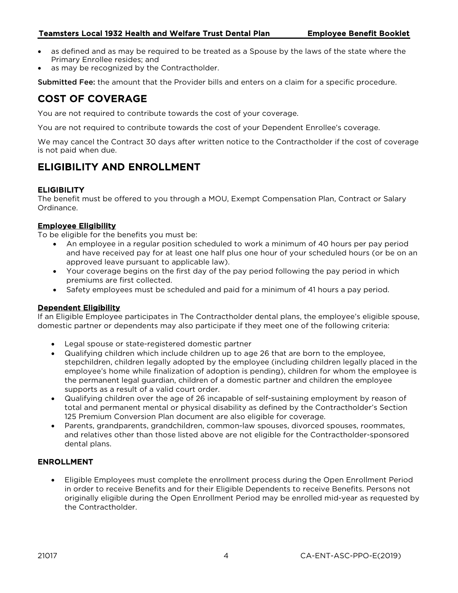- as defined and as may be required to be treated as a Spouse by the laws of the state where the Primary Enrollee resides; and
- as may be recognized by the Contractholder.

Submitted Fee: the amount that the Provider bills and enters on a claim for a specific procedure.

# <span id="page-5-0"></span>COST OF COVERAGE

You are not required to contribute towards the cost of your coverage.

You are not required to contribute towards the cost of your Dependent Enrollee's coverage.

We may cancel the Contract 30 days after written notice to the Contractholder if the cost of coverage is not paid when due.

# ELIGIBILITY AND ENROLLMENT

## <span id="page-5-1"></span>**ELIGIBILITY**

The benefit must be offered to you through a MOU, Exempt Compensation Plan, Contract or Salary Ordinance.

### Employee Eligibility

To be eligible for the benefits you must be:

- An employee in a regular position scheduled to work a minimum of 40 hours per pay period and have received pay for at least one half plus one hour of your scheduled hours (or be on an approved leave pursuant to applicable law).
- Your coverage begins on the first day of the pay period following the pay period in which premiums are first collected.
- Safety employees must be scheduled and paid for a minimum of 41 hours a pay period.

#### Dependent Eligibility

If an Eligible Employee participates in The Contractholder dental plans, the employee's eligible spouse, domestic partner or dependents may also participate if they meet one of the following criteria:

- Legal spouse or state-registered domestic partner
- Qualifying children which include children up to age 26 that are born to the employee, stepchildren, children legally adopted by the employee (including children legally placed in the employee's home while finalization of adoption is pending), children for whom the employee is the permanent legal guardian, children of a domestic partner and children the employee supports as a result of a valid court order.
- Qualifying children over the age of 26 incapable of self-sustaining employment by reason of total and permanent mental or physical disability as defined by the Contractholder's Section 125 Premium Conversion Plan document are also eligible for coverage.
- Parents, grandparents, grandchildren, common-law spouses, divorced spouses, roommates, and relatives other than those listed above are not eligible for the Contractholder-sponsored dental plans.

## ENROLLMENT

• Eligible Employees must complete the enrollment process during the Open Enrollment Period in order to receive Benefits and for their Eligible Dependents to receive Benefits. Persons not originally eligible during the Open Enrollment Period may be enrolled mid-year as requested by the Contractholder.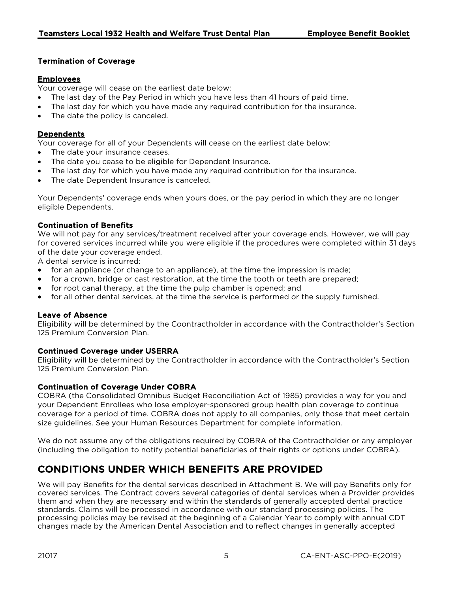# Termination of Coverage

## Employees

Your coverage will cease on the earliest date below:

- The last day of the Pay Period in which you have less than 41 hours of paid time.
- The last day for which you have made any required contribution for the insurance.
- The date the policy is canceled.

## Dependents

Your coverage for all of your Dependents will cease on the earliest date below:

- The date your insurance ceases.
- The date you cease to be eligible for Dependent Insurance.
- The last day for which you have made any required contribution for the insurance.
- The date Dependent Insurance is canceled.

Your Dependents' coverage ends when yours does, or the pay period in which they are no longer eligible Dependents.

## Continuation of Benefits

We will not pay for any services/treatment received after your coverage ends. However, we will pay for covered services incurred while you were eligible if the procedures were completed within 31 days of the date your coverage ended.

A dental service is incurred:

- for an appliance (or change to an appliance), at the time the impression is made;
- for a crown, bridge or cast restoration, at the time the tooth or teeth are prepared;
- for root canal therapy, at the time the pulp chamber is opened; and
- for all other dental services, at the time the service is performed or the supply furnished.

## Leave of Absence

Eligibility will be determined by the Coontractholder in accordance with the Contractholder's Section 125 Premium Conversion Plan.

## Continued Coverage under USERRA

Eligibility will be determined by the Contractholder in accordance with the Contractholder's Section 125 Premium Conversion Plan.

## Continuation of Coverage Under COBRA

COBRA (the Consolidated Omnibus Budget Reconciliation Act of 1985) provides a way for you and your Dependent Enrollees who lose employer-sponsored group health plan coverage to continue coverage for a period of time. COBRA does not apply to all companies, only those that meet certain size guidelines. See your Human Resources Department for complete information.

We do not assume any of the obligations required by COBRA of the Contractholder or any employer (including the obligation to notify potential beneficiaries of their rights or options under COBRA).

# CONDITIONS UNDER WHICH BENEFITS ARE PROVIDED

We will pay Benefits for the dental services described in Attachment B. We will pay Benefits only for covered services. The Contract covers several categories of dental services when a Provider provides them and when they are necessary and within the standards of generally accepted dental practice standards. Claims will be processed in accordance with our standard processing policies. The processing policies may be revised at the beginning of a Calendar Year to comply with annual CDT changes made by the American Dental Association and to reflect changes in generally accepted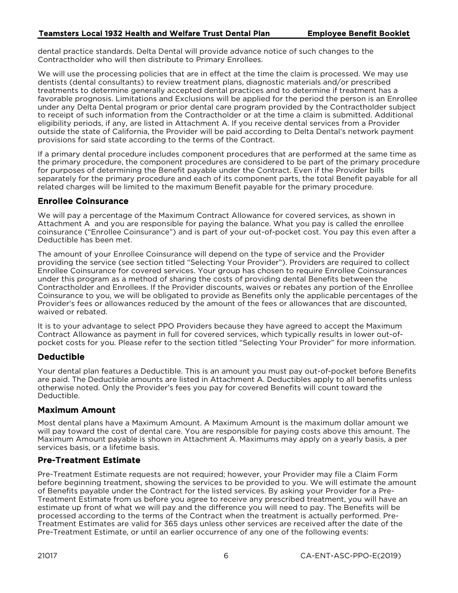dental practice standards. Delta Dental will provide advance notice of such changes to the Contractholder who will then distribute to Primary Enrollees.

We will use the processing policies that are in effect at the time the claim is processed. We may use dentists (dental consultants) to review treatment plans, diagnostic materials and/or prescribed treatments to determine generally accepted dental practices and to determine if treatment has a favorable prognosis. Limitations and Exclusions will be applied for the period the person is an Enrollee under any Delta Dental program or prior dental care program provided by the Contractholder subject to receipt of such information from the Contractholder or at the time a claim is submitted. Additional eligibility periods, if any, are listed in Attachment A. If you receive dental services from a Provider outside the state of California, the Provider will be paid according to Delta Dental's network payment provisions for said state according to the terms of the Contract.

If a primary dental procedure includes component procedures that are performed at the same time as the primary procedure, the component procedures are considered to be part of the primary procedure for purposes of determining the Benefit payable under the Contract. Even if the Provider bills separately for the primary procedure and each of its component parts, the total Benefit payable for all related charges will be limited to the maximum Benefit payable for the primary procedure.

## Enrollee Coinsurance

We will pay a percentage of the Maximum Contract Allowance for covered services, as shown in Attachment A and you are responsible for paying the balance. What you pay is called the enrollee coinsurance ("Enrollee Coinsurance") and is part of your out-of-pocket cost. You pay this even after a Deductible has been met.

The amount of your Enrollee Coinsurance will depend on the type of service and the Provider providing the service (see section titled "Selecting Your Provider"). Providers are required to collect Enrollee Coinsurance for covered services. Your group has chosen to require Enrollee Coinsurances under this program as a method of sharing the costs of providing dental Benefits between the Contractholder and Enrollees. If the Provider discounts, waives or rebates any portion of the Enrollee Coinsurance to you, we will be obligated to provide as Benefits only the applicable percentages of the Provider's fees or allowances reduced by the amount of the fees or allowances that are discounted, waived or rebated.

It is to your advantage to select PPO Providers because they have agreed to accept the Maximum Contract Allowance as payment in full for covered services, which typically results in lower out-ofpocket costs for you. Please refer to the section titled "Selecting Your Provider" for more information.

# Deductible

Your dental plan features a Deductible. This is an amount you must pay out-of-pocket before Benefits are paid. The Deductible amounts are listed in Attachment A. Deductibles apply to all benefits unless otherwise noted. Only the Provider's fees you pay for covered Benefits will count toward the Deductible.

## Maximum Amount

Most dental plans have a Maximum Amount. A Maximum Amount is the maximum dollar amount we will pay toward the cost of dental care. You are responsible for paying costs above this amount. The Maximum Amount payable is shown in Attachment A. Maximums may apply on a yearly basis, a per services basis, or a lifetime basis.

# Pre-Treatment Estimate

Pre-Treatment Estimate requests are not required; however, your Provider may file a Claim Form before beginning treatment, showing the services to be provided to you. We will estimate the amount of Benefits payable under the Contract for the listed services. By asking your Provider for a Pre-Treatment Estimate from us before you agree to receive any prescribed treatment, you will have an estimate up front of what we will pay and the difference you will need to pay. The Benefits will be processed according to the terms of the Contract when the treatment is actually performed. Pre-Treatment Estimates are valid for 365 days unless other services are received after the date of the Pre-Treatment Estimate, or until an earlier occurrence of any one of the following events: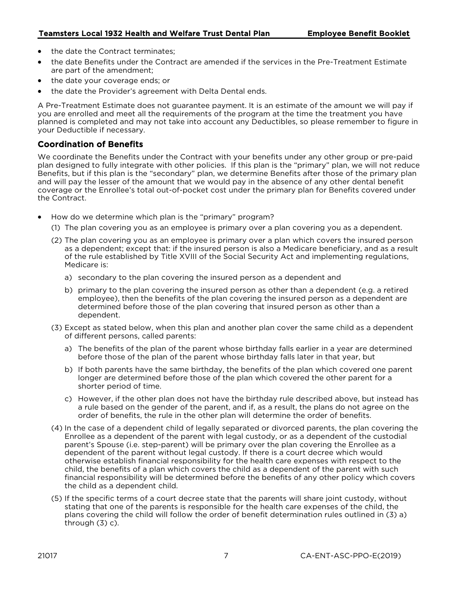- the date the Contract terminates;
- the date Benefits under the Contract are amended if the services in the Pre-Treatment Estimate are part of the amendment;
- the date your coverage ends; or
- the date the Provider's agreement with Delta Dental ends.

A Pre-Treatment Estimate does not guarantee payment. It is an estimate of the amount we will pay if you are enrolled and meet all the requirements of the program at the time the treatment you have planned is completed and may not take into account any Deductibles, so please remember to figure in your Deductible if necessary.

## Coordination of Benefits

We coordinate the Benefits under the Contract with your benefits under any other group or pre-paid plan designed to fully integrate with other policies. If this plan is the "primary" plan, we will not reduce Benefits, but if this plan is the "secondary" plan, we determine Benefits after those of the primary plan and will pay the lesser of the amount that we would pay in the absence of any other dental benefit coverage or the Enrollee's total out-of-pocket cost under the primary plan for Benefits covered under the Contract.

- How do we determine which plan is the "primary" program?
	- (1) The plan covering you as an employee is primary over a plan covering you as a dependent.
	- (2) The plan covering you as an employee is primary over a plan which covers the insured person as a dependent; except that: if the insured person is also a Medicare beneficiary, and as a result of the rule established by Title XVIII of the Social Security Act and implementing regulations, Medicare is:
		- a) secondary to the plan covering the insured person as a dependent and
		- b) primary to the plan covering the insured person as other than a dependent (e.g. a retired employee), then the benefits of the plan covering the insured person as a dependent are determined before those of the plan covering that insured person as other than a dependent.
	- (3) Except as stated below, when this plan and another plan cover the same child as a dependent of different persons, called parents:
		- a) The benefits of the plan of the parent whose birthday falls earlier in a year are determined before those of the plan of the parent whose birthday falls later in that year, but
		- b) If both parents have the same birthday, the benefits of the plan which covered one parent longer are determined before those of the plan which covered the other parent for a shorter period of time.
		- c) However, if the other plan does not have the birthday rule described above, but instead has a rule based on the gender of the parent, and if, as a result, the plans do not agree on the order of benefits, the rule in the other plan will determine the order of benefits.
	- (4) In the case of a dependent child of legally separated or divorced parents, the plan covering the Enrollee as a dependent of the parent with legal custody, or as a dependent of the custodial parent's Spouse (i.e. step-parent) will be primary over the plan covering the Enrollee as a dependent of the parent without legal custody. If there is a court decree which would otherwise establish financial responsibility for the health care expenses with respect to the child, the benefits of a plan which covers the child as a dependent of the parent with such financial responsibility will be determined before the benefits of any other policy which covers the child as a dependent child.
	- (5) If the specific terms of a court decree state that the parents will share joint custody, without stating that one of the parents is responsible for the health care expenses of the child, the plans covering the child will follow the order of benefit determination rules outlined in (3) a) through (3) c).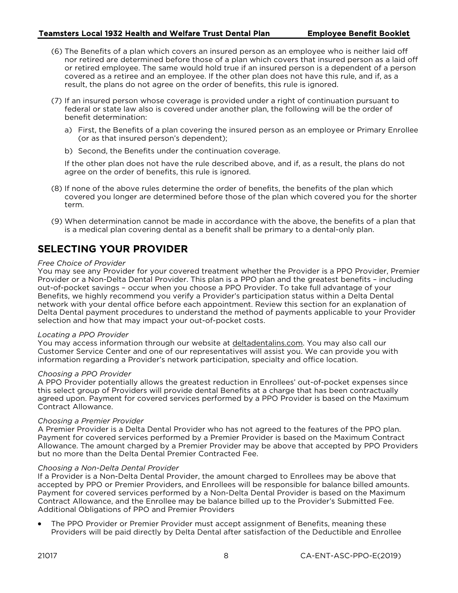- (6) The Benefits of a plan which covers an insured person as an employee who is neither laid off nor retired are determined before those of a plan which covers that insured person as a laid off or retired employee. The same would hold true if an insured person is a dependent of a person covered as a retiree and an employee. If the other plan does not have this rule, and if, as a result, the plans do not agree on the order of benefits, this rule is ignored.
- (7) If an insured person whose coverage is provided under a right of continuation pursuant to federal or state law also is covered under another plan, the following will be the order of benefit determination:
	- a) First, the Benefits of a plan covering the insured person as an employee or Primary Enrollee (or as that insured person's dependent);
	- b) Second, the Benefits under the continuation coverage.

If the other plan does not have the rule described above, and if, as a result, the plans do not agree on the order of benefits, this rule is ignored.

- (8) If none of the above rules determine the order of benefits, the benefits of the plan which covered you longer are determined before those of the plan which covered you for the shorter term.
- (9) When determination cannot be made in accordance with the above, the benefits of a plan that is a medical plan covering dental as a benefit shall be primary to a dental-only plan.

# <span id="page-9-0"></span>SELECTING YOUR PROVIDER

#### *Free Choice of Provider*

You may see any Provider for your covered treatment whether the Provider is a PPO Provider, Premier Provider or a Non-Delta Dental Provider. This plan is a PPO plan and the greatest benefits – including out-of-pocket savings – occur when you choose a PPO Provider. To take full advantage of your Benefits, we highly recommend you verify a Provider's participation status within a Delta Dental network with your dental office before each appointment. Review this section for an explanation of Delta Dental payment procedures to understand the method of payments applicable to your Provider selection and how that may impact your out-of-pocket costs.

#### *Locating a PPO Provider*

You may access information through our website at [deltadentalins.com.](http://www.deltadentalins.com/) You may also call our Customer Service Center and one of our representatives will assist you. We can provide you with information regarding a Provider's network participation, specialty and office location.

#### *Choosing a PPO Provider*

A PPO Provider potentially allows the greatest reduction in Enrollees' out-of-pocket expenses since this select group of Providers will provide dental Benefits at a charge that has been contractually agreed upon. Payment for covered services performed by a PPO Provider is based on the Maximum Contract Allowance.

#### *Choosing a Premier Provider*

A Premier Provider is a Delta Dental Provider who has not agreed to the features of the PPO plan. Payment for covered services performed by a Premier Provider is based on the Maximum Contract Allowance. The amount charged by a Premier Provider may be above that accepted by PPO Providers but no more than the Delta Dental Premier Contracted Fee.

#### *Choosing a Non-Delta Dental Provider*

If a Provider is a Non-Delta Dental Provider, the amount charged to Enrollees may be above that accepted by PPO or Premier Providers, and Enrollees will be responsible for balance billed amounts. Payment for covered services performed by a Non-Delta Dental Provider is based on the Maximum Contract Allowance, and the Enrollee may be balance billed up to the Provider's Submitted Fee. Additional Obligations of PPO and Premier Providers

The PPO Provider or Premier Provider must accept assignment of Benefits, meaning these Providers will be paid directly by Delta Dental after satisfaction of the Deductible and Enrollee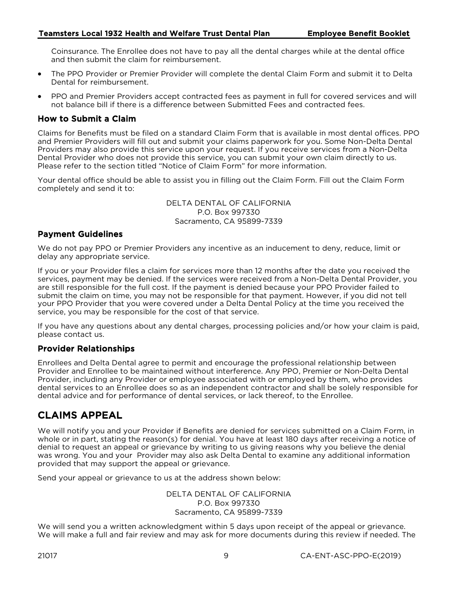Coinsurance. The Enrollee does not have to pay all the dental charges while at the dental office and then submit the claim for reimbursement.

- The PPO Provider or Premier Provider will complete the dental Claim Form and submit it to Delta Dental for reimbursement.
- PPO and Premier Providers accept contracted fees as payment in full for covered services and will not balance bill if there is a difference between Submitted Fees and contracted fees.

## How to Submit a Claim

Claims for Benefits must be filed on a standard Claim Form that is available in most dental offices. PPO and Premier Providers will fill out and submit your claims paperwork for you. Some Non-Delta Dental Providers may also provide this service upon your request. If you receive services from a Non-Delta Dental Provider who does not provide this service, you can submit your own claim directly to us. Please refer to the section titled "Notice of Claim Form" for more information.

Your dental office should be able to assist you in filling out the Claim Form. Fill out the Claim Form completely and send it to:

> DELTA DENTAL OF CALIFORNIA P.O. Box 997330 Sacramento, CA 95899-7339

### Payment Guidelines

We do not pay PPO or Premier Providers any incentive as an inducement to deny, reduce, limit or delay any appropriate service.

If you or your Provider files a claim for services more than 12 months after the date you received the services, payment may be denied. If the services were received from a Non-Delta Dental Provider, you are still responsible for the full cost. If the payment is denied because your PPO Provider failed to submit the claim on time, you may not be responsible for that payment. However, if you did not tell your PPO Provider that you were covered under a Delta Dental Policy at the time you received the service, you may be responsible for the cost of that service.

If you have any questions about any dental charges, processing policies and/or how your claim is paid, please contact us.

## Provider Relationships

Enrollees and Delta Dental agree to permit and encourage the professional relationship between Provider and Enrollee to be maintained without interference. Any PPO, Premier or Non-Delta Dental Provider, including any Provider or employee associated with or employed by them, who provides dental services to an Enrollee does so as an independent contractor and shall be solely responsible for dental advice and for performance of dental services, or lack thereof, to the Enrollee.

# CLAIMS APPEAL

We will notify you and your Provider if Benefits are denied for services submitted on a Claim Form, in whole or in part, stating the reason(s) for denial. You have at least 180 days after receiving a notice of denial to request an appeal or grievance by writing to us giving reasons why you believe the denial was wrong. You and your Provider may also ask Delta Dental to examine any additional information provided that may support the appeal or grievance.

Send your appeal or grievance to us at the address shown below:

DELTA DENTAL OF CALIFORNIA P.O. Box 997330 Sacramento, CA 95899-7339

We will send you a written acknowledgment within 5 days upon receipt of the appeal or grievance. We will make a full and fair review and may ask for more documents during this review if needed. The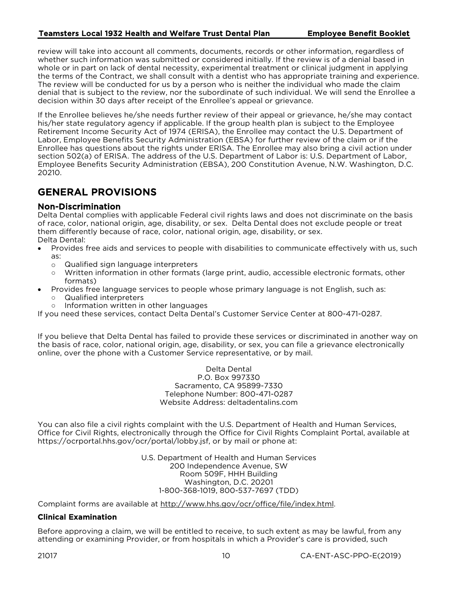review will take into account all comments, documents, records or other information, regardless of whether such information was submitted or considered initially. If the review is of a denial based in whole or in part on lack of dental necessity, experimental treatment or clinical judgment in applying the terms of the Contract, we shall consult with a dentist who has appropriate training and experience. The review will be conducted for us by a person who is neither the individual who made the claim denial that is subject to the review, nor the subordinate of such individual. We will send the Enrollee a decision within 30 days after receipt of the Enrollee's appeal or grievance.

<span id="page-11-0"></span>If the Enrollee believes he/she needs further review of their appeal or grievance, he/she may contact his/her state regulatory agency if applicable. If the group health plan is subject to the Employee Retirement Income Security Act of 1974 (ERISA), the Enrollee may contact the U.S. Department of Labor, Employee Benefits Security Administration (EBSA) for further review of the claim or if the Enrollee has questions about the rights under ERISA. The Enrollee may also bring a civil action under section 502(a) of ERISA. The address of the U.S. Department of Labor is: U.S. Department of Labor, Employee Benefits Security Administration (EBSA), 200 Constitution Avenue, N.W. Washington, D.C. 20210.

# GENERAL PROVISIONS

### Non-Discrimination

Delta Dental complies with applicable Federal civil rights laws and does not discriminate on the basis of race, color, national origin, age, disability, or sex. Delta Dental does not exclude people or treat them differently because of race, color, national origin, age, disability, or sex. Delta Dental:

- Provides free aids and services to people with disabilities to communicate effectively with us, such as:
	- o Qualified sign language interpreters<br>
	o Written information in other formats
	- Written information in other formats (large print, audio, accessible electronic formats, other formats)
- Provides free language services to people whose primary language is not English, such as:
	- Qualified interpreters
	- Information written in other languages

If you need these services, contact Delta Dental's Customer Service Center at 800-471-0287.

If you believe that Delta Dental has failed to provide these services or discriminated in another way on the basis of race, color, national origin, age, disability, or sex, you can file a grievance electronically online, over the phone with a Customer Service representative, or by mail.

> Delta Dental P.O. Box 997330 Sacramento, CA 95899-7330 Telephone Number: 800-471-0287 Website Address: deltadentalins.com

You can also file a civil rights complaint with the U.S. Department of Health and Human Services, Office for Civil Rights, electronically through the Office for Civil Rights Complaint Portal, available at https://ocrportal.hhs.gov/ocr/portal/lobby.jsf, or by mail or phone at:

> U.S. Department of Health and Human Services 200 Independence Avenue, SW Room 509F, HHH Building Washington, D.C. 20201 1-800-368-1019, 800-537-7697 (TDD)

Complaint forms are available at http://www.hhs.gov/ocr/office/file/index.html.

#### Clinical Examination

Before approving a claim, we will be entitled to receive, to such extent as may be lawful, from any attending or examining Provider, or from hospitals in which a Provider's care is provided, such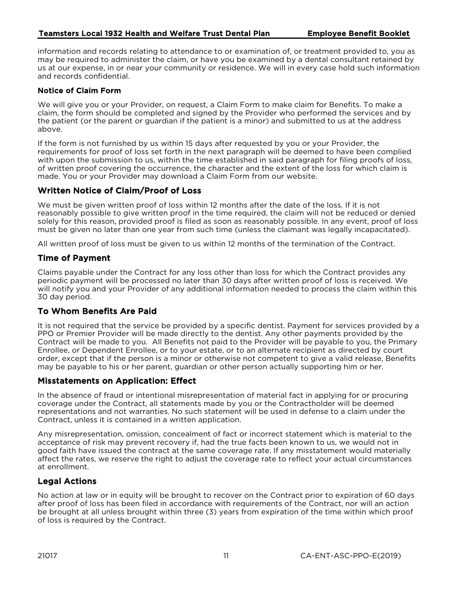information and records relating to attendance to or examination of, or treatment provided to, you as may be required to administer the claim, or have you be examined by a dental consultant retained by us at our expense, in or near your community or residence. We will in every case hold such information and records confidential.

## Notice of Claim Form

We will give you or your Provider, on request, a Claim Form to make claim for Benefits. To make a claim, the form should be completed and signed by the Provider who performed the services and by the patient (or the parent or guardian if the patient is a minor) and submitted to us at the address above.

If the form is not furnished by us within 15 days after requested by you or your Provider, the requirements for proof of loss set forth in the next paragraph will be deemed to have been complied with upon the submission to us, within the time established in said paragraph for filing proofs of loss, of written proof covering the occurrence, the character and the extent of the loss for which claim is made. You or your Provider may download a Claim Form from our website.

# Written Notice of Claim/Proof of Loss

We must be given written proof of loss within 12 months after the date of the loss. If it is not reasonably possible to give written proof in the time required, the claim will not be reduced or denied solely for this reason, provided proof is filed as soon as reasonably possible. In any event, proof of loss must be given no later than one year from such time (unless the claimant was legally incapacitated).

All written proof of loss must be given to us within 12 months of the termination of the Contract.

## Time of Payment

Claims payable under the Contract for any loss other than loss for which the Contract provides any periodic payment will be processed no later than 30 days after written proof of loss is received. We will notify you and your Provider of any additional information needed to process the claim within this 30 day period.

# To Whom Benefits Are Paid

It is not required that the service be provided by a specific dentist. Payment for services provided by a PPO or Premier Provider will be made directly to the dentist. Any other payments provided by the Contract will be made to you. All Benefits not paid to the Provider will be payable to you, the Primary Enrollee, or Dependent Enrollee, or to your estate, or to an alternate recipient as directed by court order, except that if the person is a minor or otherwise not competent to give a valid release, Benefits may be payable to his or her parent, guardian or other person actually supporting him or her.

## Misstatements on Application: Effect

In the absence of fraud or intentional misrepresentation of material fact in applying for or procuring coverage under the Contract, all statements made by you or the Contractholder will be deemed representations and not warranties. No such statement will be used in defense to a claim under the Contract, unless it is contained in a written application.

Any misrepresentation, omission, concealment of fact or incorrect statement which is material to the acceptance of risk may prevent recovery if, had the true facts been known to us, we would not in good faith have issued the contract at the same coverage rate. If any misstatement would materially affect the rates, we reserve the right to adjust the coverage rate to reflect your actual circumstances at enrollment.

# Legal Actions

No action at law or in equity will be brought to recover on the Contract prior to expiration of 60 days after proof of loss has been filed in accordance with requirements of the Contract, nor will an action be brought at all unless brought within three (3) years from expiration of the time within which proof of loss is required by the Contract.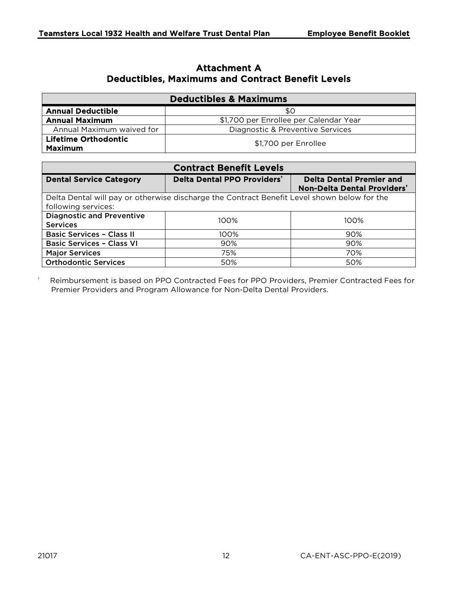# Attachment A Deductibles, Maximums and Contract Benefit Levels

| <b>Deductibles &amp; Maximums</b>             |                                        |  |  |  |  |
|-----------------------------------------------|----------------------------------------|--|--|--|--|
| <b>Annual Deductible</b>                      | \$0                                    |  |  |  |  |
| <b>Annual Maximum</b>                         | \$1,700 per Enrollee per Calendar Year |  |  |  |  |
| Annual Maximum waived for                     | Diagnostic & Preventive Services       |  |  |  |  |
| <b>Lifetime Orthodontic</b><br><b>Maximum</b> | \$1,700 per Enrollee                   |  |  |  |  |

| <b>Contract Benefit Levels</b>                                                                                     |                                         |                                                                |  |  |  |  |
|--------------------------------------------------------------------------------------------------------------------|-----------------------------------------|----------------------------------------------------------------|--|--|--|--|
| <b>Dental Service Category</b>                                                                                     | Delta Dental PPO Providers <sup>t</sup> | <b>Delta Dental Premier and</b><br>Non-Delta Dental Providers' |  |  |  |  |
| Delta Dental will pay or otherwise discharge the Contract Benefit Level shown below for the<br>following services: |                                         |                                                                |  |  |  |  |
| <b>Diagnostic and Preventive</b><br><b>Services</b>                                                                | $100\%$                                 | 100%                                                           |  |  |  |  |
| <b>Basic Services - Class II</b>                                                                                   | 100%                                    | 90%                                                            |  |  |  |  |
| <b>Basic Services - Class VI</b>                                                                                   | 90%                                     | 90%                                                            |  |  |  |  |
| <b>Major Services</b>                                                                                              | 75%                                     | 70%                                                            |  |  |  |  |
| <b>Orthodontic Services</b>                                                                                        | 50%                                     | 50%                                                            |  |  |  |  |

† Reimbursement is based on PPO Contracted Fees for PPO Providers, Premier Contracted Fees for Premier Providers and Program Allowance for Non-Delta Dental Providers.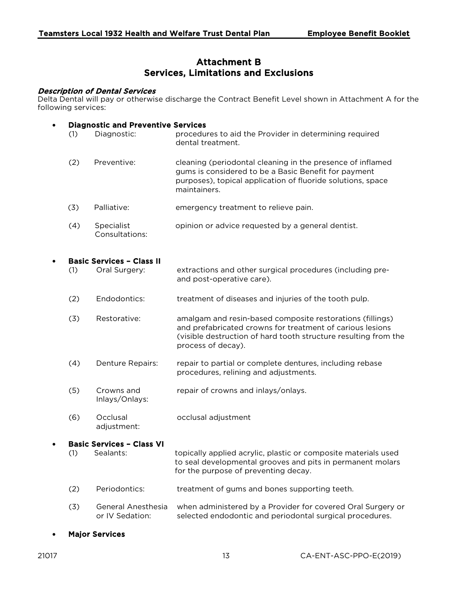# Attachment B Services, Limitations and Exclusions

#### Description of Dental Services

Delta Dental will pay or otherwise discharge the Contract Benefit Level shown in Attachment A for the following services:

#### • Diagnostic and Preventive Services

- (1) Diagnostic: procedures to aid the Provider in determining required dental treatment.
- (2) Preventive: cleaning (periodontal cleaning in the presence of inflamed gums is considered to be a Basic Benefit for payment purposes), topical application of fluoride solutions, space maintainers.
- (3) Palliative: emergency treatment to relieve pain.
- (4) Specialist Consultations: opinion or advice requested by a general dentist.

#### • Basic Services – Class II

- (1) Oral Surgery: extractions and other surgical procedures (including preand post-operative care).
- (2) Endodontics: treatment of diseases and injuries of the tooth pulp.
- (3) Restorative: amalgam and resin-based composite restorations (fillings) and prefabricated crowns for treatment of carious lesions (visible destruction of hard tooth structure resulting from the process of decay).
- (4) Denture Repairs: repair to partial or complete dentures, including rebase procedures, relining and adjustments.
- (5) Crowns and Inlays/Onlays: repair of crowns and inlays/onlays.
- (6) Occlusal adjustment: occlusal adjustment

## • Basic Services – Class VI

- (1) Sealants: topically applied acrylic, plastic or composite materials used to seal developmental grooves and pits in permanent molars for the purpose of preventing decay.
- (2) Periodontics: treatment of gums and bones supporting teeth.
- (3) General Anesthesia or IV Sedation: when administered by a Provider for covered Oral Surgery or selected endodontic and periodontal surgical procedures.
- **Major Services**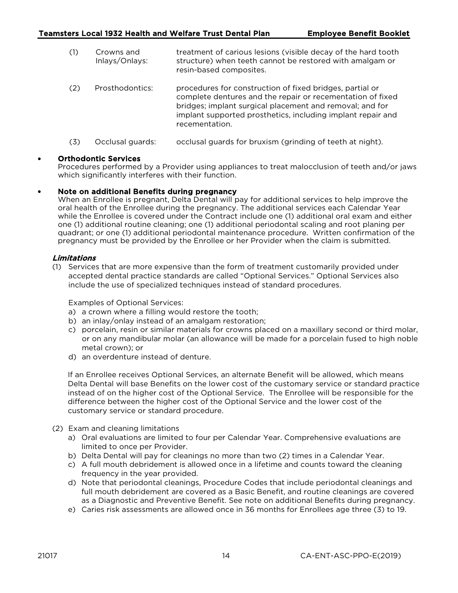(1) Crowns and Inlays/Onlays: treatment of carious lesions (visible decay of the hard tooth structure) when teeth cannot be restored with amalgam or resin-based composites. (2) Prosthodontics: procedures for construction of fixed bridges, partial or complete dentures and the repair or recementation of fixed

> bridges; implant surgical placement and removal; and for implant supported prosthetics, including implant repair and

(3) Occlusal guards: occlusal guards for bruxism (grinding of teeth at night).

recementation.

#### • Orthodontic Services

Procedures performed by a Provider using appliances to treat malocclusion of teeth and/or jaws which significantly interferes with their function.

#### • Note on additional Benefits during pregnancy

When an Enrollee is pregnant, Delta Dental will pay for additional services to help improve the oral health of the Enrollee during the pregnancy. The additional services each Calendar Year while the Enrollee is covered under the Contract include one (1) additional oral exam and either one (1) additional routine cleaning; one (1) additional periodontal scaling and root planing per quadrant; or one (1) additional periodontal maintenance procedure. Written confirmation of the pregnancy must be provided by the Enrollee or her Provider when the claim is submitted.

#### Limitations

(1) Services that are more expensive than the form of treatment customarily provided under accepted dental practice standards are called "Optional Services." Optional Services also include the use of specialized techniques instead of standard procedures.

Examples of Optional Services:

- a) a crown where a filling would restore the tooth;
- b) an inlay/onlay instead of an amalgam restoration;
- c) porcelain, resin or similar materials for crowns placed on a maxillary second or third molar, or on any mandibular molar (an allowance will be made for a porcelain fused to high noble metal crown); or
- d) an overdenture instead of denture.

If an Enrollee receives Optional Services, an alternate Benefit will be allowed, which means Delta Dental will base Benefits on the lower cost of the customary service or standard practice instead of on the higher cost of the Optional Service. The Enrollee will be responsible for the difference between the higher cost of the Optional Service and the lower cost of the customary service or standard procedure.

- (2) Exam and cleaning limitations
	- a) Oral evaluations are limited to four per Calendar Year. Comprehensive evaluations are limited to once per Provider.
	- b) Delta Dental will pay for cleanings no more than two (2) times in a Calendar Year.
	- c) A full mouth debridement is allowed once in a lifetime and counts toward the cleaning frequency in the year provided.
	- d) Note that periodontal cleanings, Procedure Codes that include periodontal cleanings and full mouth debridement are covered as a Basic Benefit, and routine cleanings are covered as a Diagnostic and Preventive Benefit. See note on additional Benefits during pregnancy.
	- e) Caries risk assessments are allowed once in 36 months for Enrollees age three (3) to 19.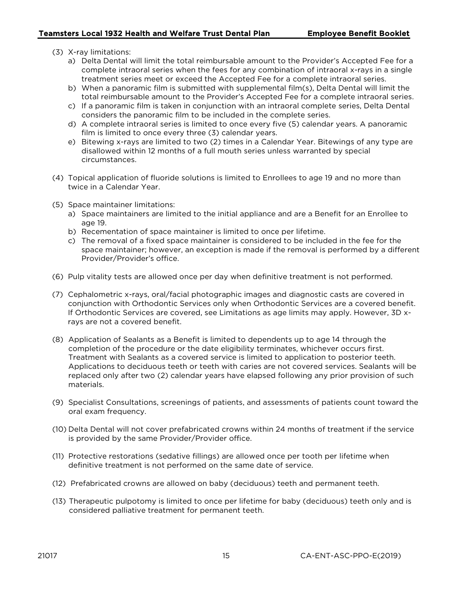- (3) X-ray limitations:
	- a) Delta Dental will limit the total reimbursable amount to the Provider's Accepted Fee for a complete intraoral series when the fees for any combination of intraoral x-rays in a single treatment series meet or exceed the Accepted Fee for a complete intraoral series.
	- b) When a panoramic film is submitted with supplemental film(s), Delta Dental will limit the total reimbursable amount to the Provider's Accepted Fee for a complete intraoral series.
	- c) If a panoramic film is taken in conjunction with an intraoral complete series, Delta Dental considers the panoramic film to be included in the complete series.
	- d) A complete intraoral series is limited to once every five (5) calendar years. A panoramic film is limited to once every three (3) calendar years.
	- e) Bitewing x-rays are limited to two (2) times in a Calendar Year. Bitewings of any type are disallowed within 12 months of a full mouth series unless warranted by special circumstances.
- (4) Topical application of fluoride solutions is limited to Enrollees to age 19 and no more than twice in a Calendar Year.
- (5) Space maintainer limitations:
	- a) Space maintainers are limited to the initial appliance and are a Benefit for an Enrollee to age 19.
	- b) Recementation of space maintainer is limited to once per lifetime.
	- c) The removal of a fixed space maintainer is considered to be included in the fee for the space maintainer; however, an exception is made if the removal is performed by a different Provider/Provider's office.
- (6) Pulp vitality tests are allowed once per day when definitive treatment is not performed.
- (7) Cephalometric x-rays, oral/facial photographic images and diagnostic casts are covered in conjunction with Orthodontic Services only when Orthodontic Services are a covered benefit. If Orthodontic Services are covered, see Limitations as age limits may apply. However, 3D xrays are not a covered benefit.
- (8) Application of Sealants as a Benefit is limited to dependents up to age 14 through the completion of the procedure or the date eligibility terminates, whichever occurs first. Treatment with Sealants as a covered service is limited to application to posterior teeth. Applications to deciduous teeth or teeth with caries are not covered services. Sealants will be replaced only after two (2) calendar years have elapsed following any prior provision of such materials.
- (9) Specialist Consultations, screenings of patients, and assessments of patients count toward the oral exam frequency.
- (10) Delta Dental will not cover prefabricated crowns within 24 months of treatment if the service is provided by the same Provider/Provider office.
- (11) Protective restorations (sedative fillings) are allowed once per tooth per lifetime when definitive treatment is not performed on the same date of service.
- (12) Prefabricated crowns are allowed on baby (deciduous) teeth and permanent teeth.
- (13) Therapeutic pulpotomy is limited to once per lifetime for baby (deciduous) teeth only and is considered palliative treatment for permanent teeth.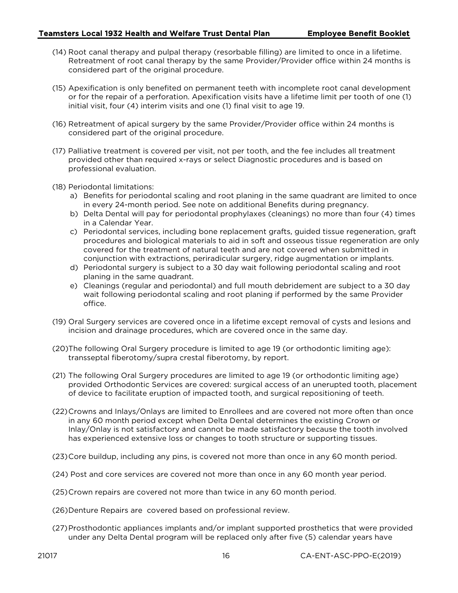- (14) Root canal therapy and pulpal therapy (resorbable filling) are limited to once in a lifetime. Retreatment of root canal therapy by the same Provider/Provider office within 24 months is considered part of the original procedure.
- (15) Apexification is only benefited on permanent teeth with incomplete root canal development or for the repair of a perforation. Apexification visits have a lifetime limit per tooth of one (1) initial visit, four (4) interim visits and one (1) final visit to age 19.
- (16) Retreatment of apical surgery by the same Provider/Provider office within 24 months is considered part of the original procedure.
- (17) Palliative treatment is covered per visit, not per tooth, and the fee includes all treatment provided other than required x-rays or select Diagnostic procedures and is based on professional evaluation.
- (18) Periodontal limitations:
	- a) Benefits for periodontal scaling and root planing in the same quadrant are limited to once in every 24-month period. See note on additional Benefits during pregnancy.
	- b) Delta Dental will pay for periodontal prophylaxes (cleanings) no more than four (4) times in a Calendar Year.
	- c) Periodontal services, including bone replacement grafts, guided tissue regeneration, graft procedures and biological materials to aid in soft and osseous tissue regeneration are only covered for the treatment of natural teeth and are not covered when submitted in conjunction with extractions, periradicular surgery, ridge augmentation or implants.
	- d) Periodontal surgery is subject to a 30 day wait following periodontal scaling and root planing in the same quadrant.
	- e) Cleanings (regular and periodontal) and full mouth debridement are subject to a 30 day wait following periodontal scaling and root planing if performed by the same Provider office.
- (19) Oral Surgery services are covered once in a lifetime except removal of cysts and lesions and incision and drainage procedures, which are covered once in the same day.
- (20)The following Oral Surgery procedure is limited to age 19 (or orthodontic limiting age): transseptal fiberotomy/supra crestal fiberotomy, by report.
- (21) The following Oral Surgery procedures are limited to age 19 (or orthodontic limiting age) provided Orthodontic Services are covered: surgical access of an unerupted tooth, placement of device to facilitate eruption of impacted tooth, and surgical repositioning of teeth.
- (22)Crowns and Inlays/Onlays are limited to Enrollees and are covered not more often than once in any 60 month period except when Delta Dental determines the existing Crown or Inlay/Onlay is not satisfactory and cannot be made satisfactory because the tooth involved has experienced extensive loss or changes to tooth structure or supporting tissues.
- (23)Core buildup, including any pins, is covered not more than once in any 60 month period.
- (24) Post and core services are covered not more than once in any 60 month year period.
- (25)Crown repairs are covered not more than twice in any 60 month period.
- (26)Denture Repairs are covered based on professional review.
- (27)Prosthodontic appliances implants and/or implant supported prosthetics that were provided under any Delta Dental program will be replaced only after five (5) calendar years have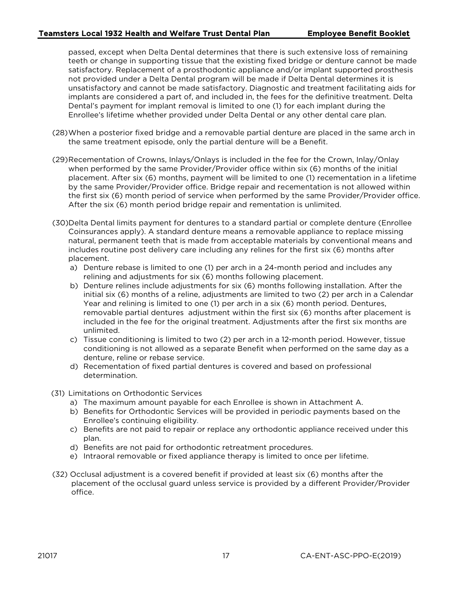passed, except when Delta Dental determines that there is such extensive loss of remaining teeth or change in supporting tissue that the existing fixed bridge or denture cannot be made satisfactory. Replacement of a prosthodontic appliance and/or implant supported prosthesis not provided under a Delta Dental program will be made if Delta Dental determines it is unsatisfactory and cannot be made satisfactory. Diagnostic and treatment facilitating aids for implants are considered a part of, and included in, the fees for the definitive treatment. Delta Dental's payment for implant removal is limited to one (1) for each implant during the Enrollee's lifetime whether provided under Delta Dental or any other dental care plan.

- (28)When a posterior fixed bridge and a removable partial denture are placed in the same arch in the same treatment episode, only the partial denture will be a Benefit.
- (29)Recementation of Crowns, Inlays/Onlays is included in the fee for the Crown, Inlay/Onlay when performed by the same Provider/Provider office within six (6) months of the initial placement. After six (6) months, payment will be limited to one (1) recementation in a lifetime by the same Provider/Provider office. Bridge repair and recementation is not allowed within the first six (6) month period of service when performed by the same Provider/Provider office. After the six (6) month period bridge repair and rementation is unlimited.
- (30)Delta Dental limits payment for dentures to a standard partial or complete denture (Enrollee Coinsurances apply). A standard denture means a removable appliance to replace missing natural, permanent teeth that is made from acceptable materials by conventional means and includes routine post delivery care including any relines for the first six (6) months after placement.
	- a) Denture rebase is limited to one (1) per arch in a 24-month period and includes any relining and adjustments for six (6) months following placement.
	- b) Denture relines include adjustments for six (6) months following installation. After the initial six (6) months of a reline, adjustments are limited to two (2) per arch in a Calendar Year and relining is limited to one (1) per arch in a six (6) month period. Dentures, removable partial dentures adjustment within the first six (6) months after placement is included in the fee for the original treatment. Adjustments after the first six months are unlimited.
	- c) Tissue conditioning is limited to two (2) per arch in a 12-month period. However, tissue conditioning is not allowed as a separate Benefit when performed on the same day as a denture, reline or rebase service.
	- d) Recementation of fixed partial dentures is covered and based on professional determination.
- (31) Limitations on Orthodontic Services
	- a) The maximum amount payable for each Enrollee is shown in Attachment A.
	- b) Benefits for Orthodontic Services will be provided in periodic payments based on the Enrollee's continuing eligibility.
	- c) Benefits are not paid to repair or replace any orthodontic appliance received under this plan.
	- d) Benefits are not paid for orthodontic retreatment procedures.
	- e) Intraoral removable or fixed appliance therapy is limited to once per lifetime.
- (32) Occlusal adjustment is a covered benefit if provided at least six (6) months after the placement of the occlusal guard unless service is provided by a different Provider/Provider office.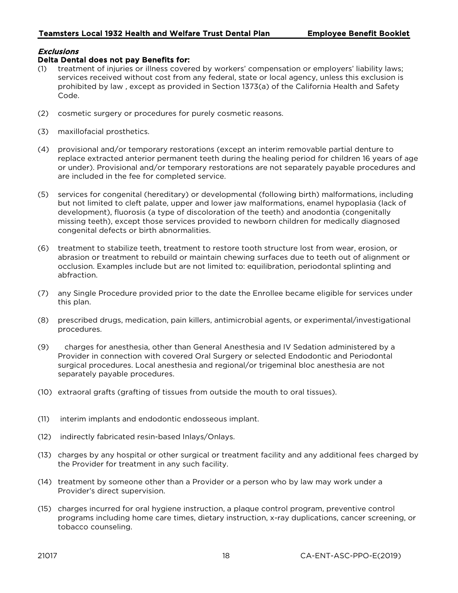## Exclusions

#### Delta Dental does not pay Benefits for:

- treatment of injuries or illness covered by workers' compensation or employers' liability laws; services received without cost from any federal, state or local agency, unless this exclusion is prohibited by law , except as provided in Section 1373(a) of the California Health and Safety Code.
- (2) cosmetic surgery or procedures for purely cosmetic reasons.
- (3) maxillofacial prosthetics.
- (4) provisional and/or temporary restorations (except an interim removable partial denture to replace extracted anterior permanent teeth during the healing period for children 16 years of age or under). Provisional and/or temporary restorations are not separately payable procedures and are included in the fee for completed service.
- (5) services for congenital (hereditary) or developmental (following birth) malformations, including but not limited to cleft palate, upper and lower jaw malformations, enamel hypoplasia (lack of development), fluorosis (a type of discoloration of the teeth) and anodontia (congenitally missing teeth), except those services provided to newborn children for medically diagnosed congenital defects or birth abnormalities.
- (6) treatment to stabilize teeth, treatment to restore tooth structure lost from wear, erosion, or abrasion or treatment to rebuild or maintain chewing surfaces due to teeth out of alignment or occlusion. Examples include but are not limited to: equilibration, periodontal splinting and abfraction.
- (7) any Single Procedure provided prior to the date the Enrollee became eligible for services under this plan.
- (8) prescribed drugs, medication, pain killers, antimicrobial agents, or experimental/investigational procedures.
- (9) charges for anesthesia, other than General Anesthesia and IV Sedation administered by a Provider in connection with covered Oral Surgery or selected Endodontic and Periodontal surgical procedures. Local anesthesia and regional/or trigeminal bloc anesthesia are not separately payable procedures.
- (10) extraoral grafts (grafting of tissues from outside the mouth to oral tissues).
- (11) interim implants and endodontic endosseous implant.
- (12) indirectly fabricated resin-based Inlays/Onlays.
- (13) charges by any hospital or other surgical or treatment facility and any additional fees charged by the Provider for treatment in any such facility.
- (14) treatment by someone other than a Provider or a person who by law may work under a Provider's direct supervision.
- (15) charges incurred for oral hygiene instruction, a plaque control program, preventive control programs including home care times, dietary instruction, x-ray duplications, cancer screening, or tobacco counseling.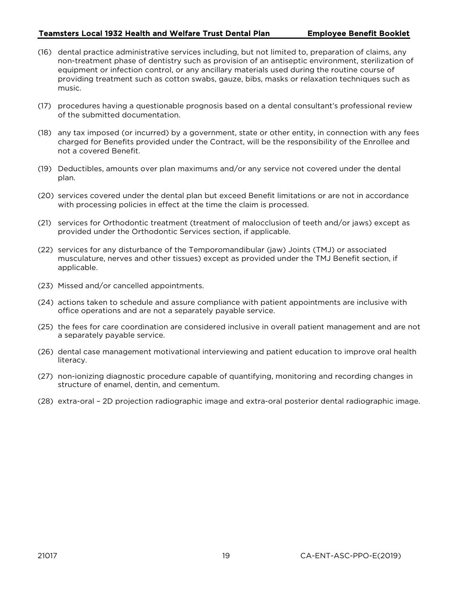- (16) dental practice administrative services including, but not limited to, preparation of claims, any non-treatment phase of dentistry such as provision of an antiseptic environment, sterilization of equipment or infection control, or any ancillary materials used during the routine course of providing treatment such as cotton swabs, gauze, bibs, masks or relaxation techniques such as music.
- (17) procedures having a questionable prognosis based on a dental consultant's professional review of the submitted documentation.
- (18) any tax imposed (or incurred) by a government, state or other entity, in connection with any fees charged for Benefits provided under the Contract, will be the responsibility of the Enrollee and not a covered Benefit.
- (19) Deductibles, amounts over plan maximums and/or any service not covered under the dental plan.
- (20) services covered under the dental plan but exceed Benefit limitations or are not in accordance with processing policies in effect at the time the claim is processed.
- (21) services for Orthodontic treatment (treatment of malocclusion of teeth and/or jaws) except as provided under the Orthodontic Services section, if applicable.
- (22) services for any disturbance of the Temporomandibular (jaw) Joints (TMJ) or associated musculature, nerves and other tissues) except as provided under the TMJ Benefit section, if applicable.
- (23) Missed and/or cancelled appointments.
- (24) actions taken to schedule and assure compliance with patient appointments are inclusive with office operations and are not a separately payable service.
- (25) the fees for care coordination are considered inclusive in overall patient management and are not a separately payable service.
- (26) dental case management motivational interviewing and patient education to improve oral health literacy.
- (27) non-ionizing diagnostic procedure capable of quantifying, monitoring and recording changes in structure of enamel, dentin, and cementum.
- (28) extra-oral 2D projection radiographic image and extra-oral posterior dental radiographic image.